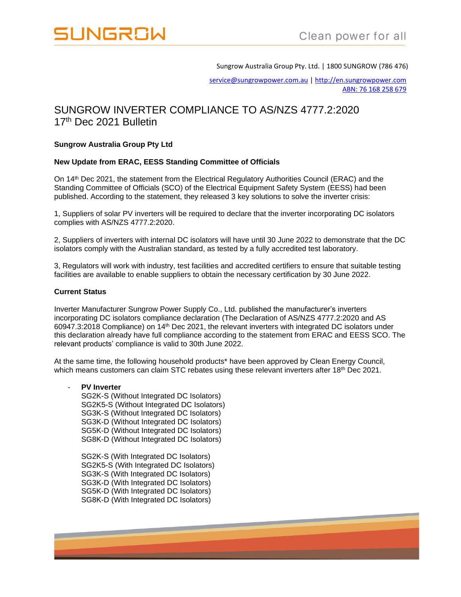

Sungrow Australia Group Pty. Ltd. | 1800 SUNGROW (786 476)

[service@sungrowpower.com.au](mailto:service@sungrowpower.com.au) [| http://en.sungrowpower.com](http://en.sungrowpower.com/) ABN: 76 168 258 679

# SUNGROW INVERTER COMPLIANCE TO AS/NZS 4777.2:2020 17<sup>th</sup> Dec 2021 Bulletin

## **Sungrow Australia Group Pty Ltd**

## **New Update from ERAC, EESS Standing Committee of Officials**

On 14th Dec 2021, the statement from the Electrical Regulatory Authorities Council (ERAC) and the Standing Committee of Officials (SCO) of the Electrical Equipment Safety System (EESS) had been published. According to the statement, they released 3 key solutions to solve the inverter crisis:

1, Suppliers of solar PV inverters will be required to declare that the inverter incorporating DC isolators complies with AS/NZS 4777.2:2020.

2, Suppliers of inverters with internal DC isolators will have until 30 June 2022 to demonstrate that the DC isolators comply with the Australian standard, as tested by a fully accredited test laboratory.

3, Regulators will work with industry, test facilities and accredited certifiers to ensure that suitable testing facilities are available to enable suppliers to obtain the necessary certification by 30 June 2022.

#### **Current Status**

Inverter Manufacturer Sungrow Power Supply Co., Ltd. published the manufacturer's inverters incorporating DC isolators compliance declaration (The Declaration of AS/NZS 4777.2:2020 and AS 60947.3:2018 Compliance) on 14th Dec 2021, the relevant inverters with integrated DC isolators under this declaration already have full compliance according to the statement from ERAC and EESS SCO. The relevant products' compliance is valid to 30th June 2022.

At the same time, the following household products\* have been approved by Clean Energy Council, which means customers can claim STC rebates using these relevant inverters after 18<sup>th</sup> Dec 2021.

## **PV Inverter**

SG2K-S (Without Integrated DC Isolators) SG2K5-S (Without Integrated DC Isolators) SG3K-S (Without Integrated DC Isolators) SG3K-D (Without Integrated DC Isolators) SG5K-D (Without Integrated DC Isolators) SG8K-D (Without Integrated DC Isolators)

SG2K-S (With Integrated DC Isolators) SG2K5-S (With Integrated DC Isolators) SG3K-S (With Integrated DC Isolators) SG3K-D (With Integrated DC Isolators) SG5K-D (With Integrated DC Isolators) SG8K-D (With Integrated DC Isolators)